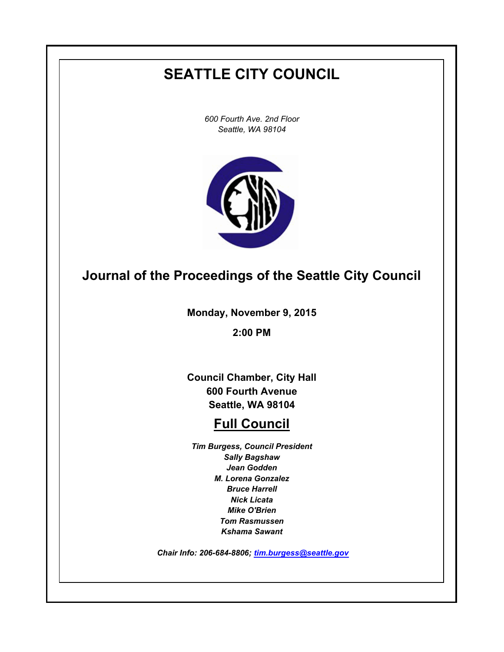# **SEATTLE CITY COUNCIL**

*600 Fourth Ave. 2nd Floor Seattle, WA 98104*



## **Journal of the Proceedings of the Seattle City Council**

**Monday, November 9, 2015**

**2:00 PM**

**Council Chamber, City Hall 600 Fourth Avenue Seattle, WA 98104**

## **Full Council**

*Tim Burgess, Council President Sally Bagshaw Jean Godden M. Lorena Gonzalez Bruce Harrell Nick Licata Mike O'Brien Tom Rasmussen Kshama Sawant*

 *Chair Info: 206-684-8806; [tim.burgess@seattle.gov](mailto:tim.burgess@seattle.gov)*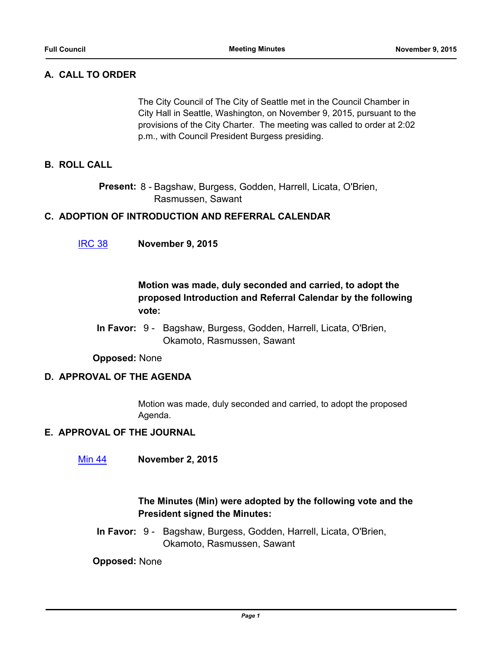## **A. CALL TO ORDER**

The City Council of The City of Seattle met in the Council Chamber in City Hall in Seattle, Washington, on November 9, 2015, pursuant to the provisions of the City Charter. The meeting was called to order at 2:02 p.m., with Council President Burgess presiding.

### **B. ROLL CALL**

Present: 8 - Bagshaw, Burgess, Godden, Harrell, Licata, O'Brien, Rasmussen, Sawant

#### **C. ADOPTION OF INTRODUCTION AND REFERRAL CALENDAR**

[IRC 38](http://seattle.legistar.com/gateway.aspx?m=l&id=/matter.aspx?key=3317) **November 9, 2015**

## **Motion was made, duly seconded and carried, to adopt the proposed Introduction and Referral Calendar by the following vote:**

In Favor: 9 - Bagshaw, Burgess, Godden, Harrell, Licata, O'Brien, Okamoto, Rasmussen, Sawant

**Opposed:** None

#### **D. APPROVAL OF THE AGENDA**

Motion was made, duly seconded and carried, to adopt the proposed Agenda.

#### **E. APPROVAL OF THE JOURNAL**

[Min 44](http://seattle.legistar.com/gateway.aspx?m=l&id=/matter.aspx?key=3318) **November 2, 2015**

## **The Minutes (Min) were adopted by the following vote and the President signed the Minutes:**

In Favor: 9 - Bagshaw, Burgess, Godden, Harrell, Licata, O'Brien, Okamoto, Rasmussen, Sawant

**Opposed:** None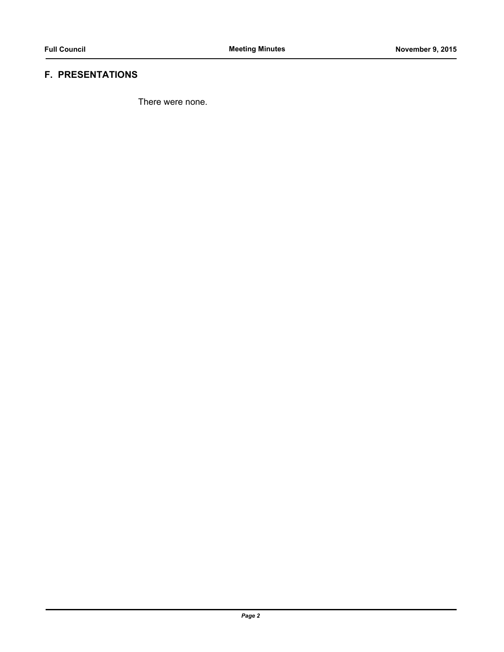## **F. PRESENTATIONS**

There were none.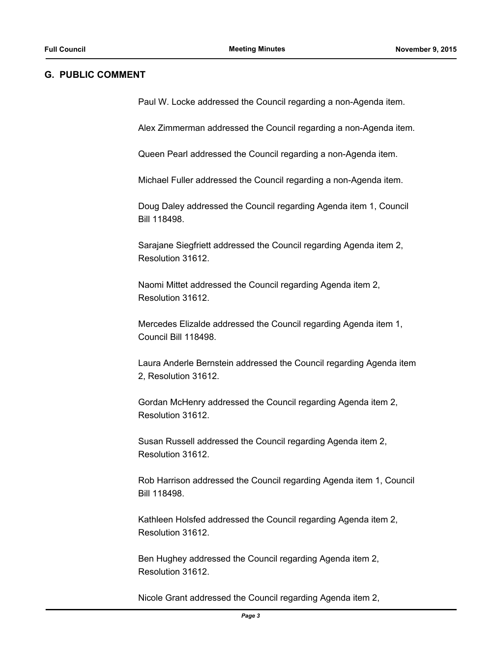#### **G. PUBLIC COMMENT**

Paul W. Locke addressed the Council regarding a non-Agenda item.

Alex Zimmerman addressed the Council regarding a non-Agenda item.

Queen Pearl addressed the Council regarding a non-Agenda item.

Michael Fuller addressed the Council regarding a non-Agenda item.

Doug Daley addressed the Council regarding Agenda item 1, Council Bill 118498.

Sarajane Siegfriett addressed the Council regarding Agenda item 2, Resolution 31612.

Naomi Mittet addressed the Council regarding Agenda item 2, Resolution 31612.

Mercedes Elizalde addressed the Council regarding Agenda item 1, Council Bill 118498.

Laura Anderle Bernstein addressed the Council regarding Agenda item 2, Resolution 31612.

Gordan McHenry addressed the Council regarding Agenda item 2, Resolution 31612.

Susan Russell addressed the Council regarding Agenda item 2, Resolution 31612.

Rob Harrison addressed the Council regarding Agenda item 1, Council Bill 118498.

Kathleen Holsfed addressed the Council regarding Agenda item 2, Resolution 31612.

Ben Hughey addressed the Council regarding Agenda item 2, Resolution 31612.

Nicole Grant addressed the Council regarding Agenda item 2,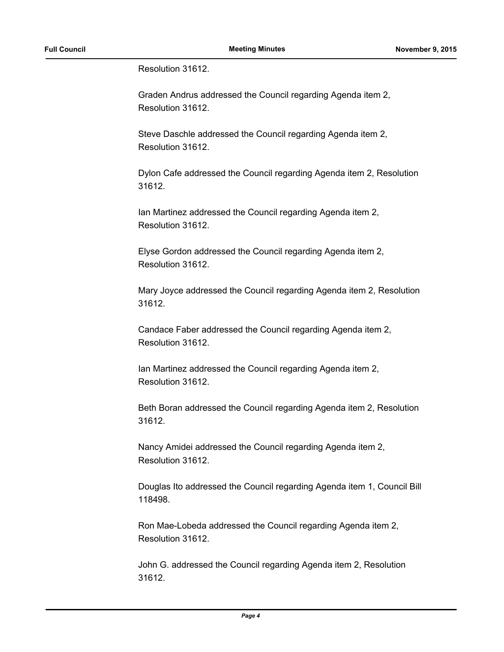Resolution 31612.

Graden Andrus addressed the Council regarding Agenda item 2, Resolution 31612.

Steve Daschle addressed the Council regarding Agenda item 2, Resolution 31612.

Dylon Cafe addressed the Council regarding Agenda item 2, Resolution 31612.

Ian Martinez addressed the Council regarding Agenda item 2, Resolution 31612.

Elyse Gordon addressed the Council regarding Agenda item 2, Resolution 31612.

Mary Joyce addressed the Council regarding Agenda item 2, Resolution 31612.

Candace Faber addressed the Council regarding Agenda item 2, Resolution 31612.

Ian Martinez addressed the Council regarding Agenda item 2, Resolution 31612.

Beth Boran addressed the Council regarding Agenda item 2, Resolution 31612.

Nancy Amidei addressed the Council regarding Agenda item 2, Resolution 31612.

Douglas Ito addressed the Council regarding Agenda item 1, Council Bill 118498.

Ron Mae-Lobeda addressed the Council regarding Agenda item 2, Resolution 31612.

John G. addressed the Council regarding Agenda item 2, Resolution 31612.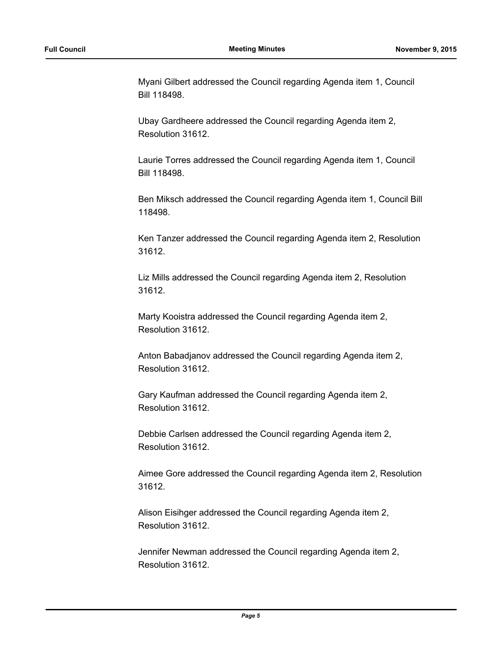Myani Gilbert addressed the Council regarding Agenda item 1, Council Bill 118498.

Ubay Gardheere addressed the Council regarding Agenda item 2, Resolution 31612.

Laurie Torres addressed the Council regarding Agenda item 1, Council Bill 118498.

Ben Miksch addressed the Council regarding Agenda item 1, Council Bill 118498.

Ken Tanzer addressed the Council regarding Agenda item 2, Resolution 31612.

Liz Mills addressed the Council regarding Agenda item 2, Resolution 31612.

Marty Kooistra addressed the Council regarding Agenda item 2, Resolution 31612.

Anton Babadjanov addressed the Council regarding Agenda item 2, Resolution 31612.

Gary Kaufman addressed the Council regarding Agenda item 2, Resolution 31612.

Debbie Carlsen addressed the Council regarding Agenda item 2, Resolution 31612.

Aimee Gore addressed the Council regarding Agenda item 2, Resolution 31612.

Alison Eisihger addressed the Council regarding Agenda item 2, Resolution 31612.

Jennifer Newman addressed the Council regarding Agenda item 2, Resolution 31612.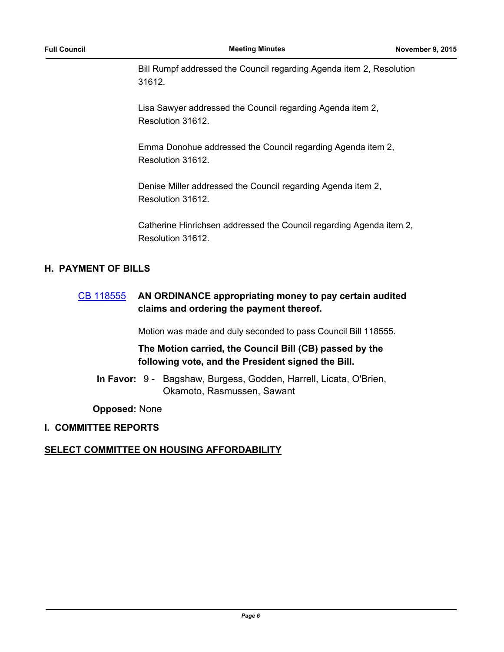Bill Rumpf addressed the Council regarding Agenda item 2, Resolution 31612.

Lisa Sawyer addressed the Council regarding Agenda item 2, Resolution 31612.

Emma Donohue addressed the Council regarding Agenda item 2, Resolution 31612.

Denise Miller addressed the Council regarding Agenda item 2, Resolution 31612.

Catherine Hinrichsen addressed the Council regarding Agenda item 2, Resolution 31612.

### **H. PAYMENT OF BILLS**

## [CB 118555](http://seattle.legistar.com/gateway.aspx?m=l&id=/matter.aspx?key=3289) **AN ORDINANCE appropriating money to pay certain audited claims and ordering the payment thereof.**

Motion was made and duly seconded to pass Council Bill 118555.

## **The Motion carried, the Council Bill (CB) passed by the following vote, and the President signed the Bill.**

In Favor: 9 - Bagshaw, Burgess, Godden, Harrell, Licata, O'Brien, Okamoto, Rasmussen, Sawant

**Opposed:** None

## **I. COMMITTEE REPORTS**

## **SELECT COMMITTEE ON HOUSING AFFORDABILITY**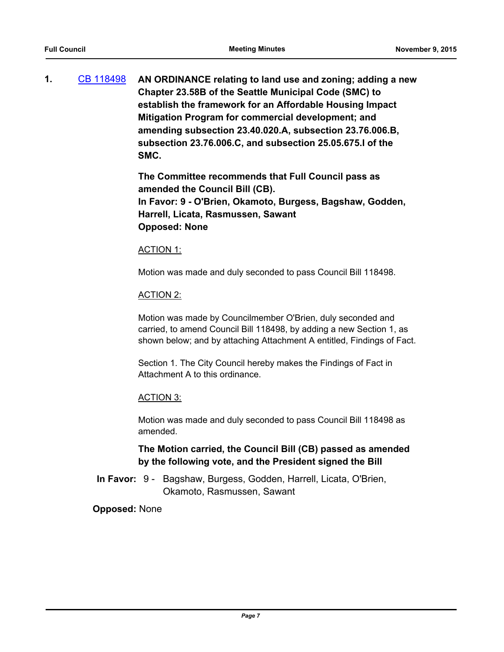**1.** [CB 118498](http://seattle.legistar.com/gateway.aspx?m=l&id=/matter.aspx?key=2881) **AN ORDINANCE relating to land use and zoning; adding a new Chapter 23.58B of the Seattle Municipal Code (SMC) to establish the framework for an Affordable Housing Impact Mitigation Program for commercial development; and amending subsection 23.40.020.A, subsection 23.76.006.B, subsection 23.76.006.C, and subsection 25.05.675.I of the SMC.**

> **The Committee recommends that Full Council pass as amended the Council Bill (CB). In Favor: 9 - O'Brien, Okamoto, Burgess, Bagshaw, Godden, Harrell, Licata, Rasmussen, Sawant Opposed: None**

#### ACTION 1:

Motion was made and duly seconded to pass Council Bill 118498.

#### ACTION 2:

Motion was made by Councilmember O'Brien, duly seconded and carried, to amend Council Bill 118498, by adding a new Section 1, as shown below; and by attaching Attachment A entitled, Findings of Fact.

Section 1. The City Council hereby makes the Findings of Fact in Attachment A to this ordinance.

#### ACTION 3:

Motion was made and duly seconded to pass Council Bill 118498 as amended.

## **The Motion carried, the Council Bill (CB) passed as amended by the following vote, and the President signed the Bill**

In Favor: 9 - Bagshaw, Burgess, Godden, Harrell, Licata, O'Brien, Okamoto, Rasmussen, Sawant

#### **Opposed:** None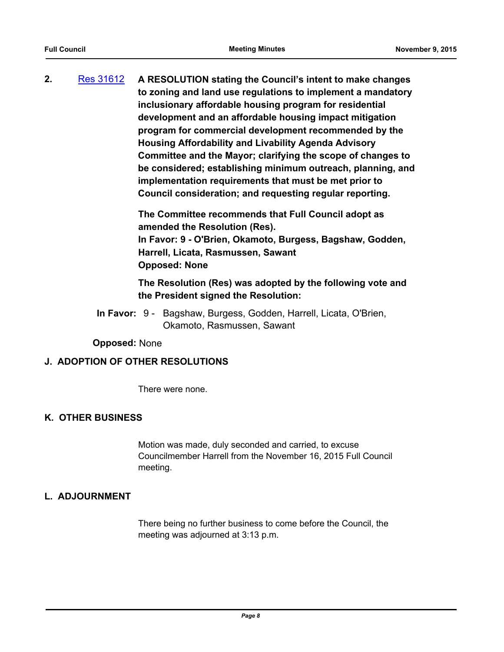**2.** [Res 31612](http://seattle.legistar.com/gateway.aspx?m=l&id=/matter.aspx?key=2901) **A RESOLUTION stating the Council's intent to make changes to zoning and land use regulations to implement a mandatory inclusionary affordable housing program for residential development and an affordable housing impact mitigation program for commercial development recommended by the Housing Affordability and Livability Agenda Advisory Committee and the Mayor; clarifying the scope of changes to be considered; establishing minimum outreach, planning, and implementation requirements that must be met prior to Council consideration; and requesting regular reporting.**

> **The Committee recommends that Full Council adopt as amended the Resolution (Res). In Favor: 9 - O'Brien, Okamoto, Burgess, Bagshaw, Godden, Harrell, Licata, Rasmussen, Sawant Opposed: None**

> **The Resolution (Res) was adopted by the following vote and the President signed the Resolution:**

In Favor: 9 - Bagshaw, Burgess, Godden, Harrell, Licata, O'Brien, Okamoto, Rasmussen, Sawant

**Opposed:** None

#### **J. ADOPTION OF OTHER RESOLUTIONS**

There were none.

#### **K. OTHER BUSINESS**

Motion was made, duly seconded and carried, to excuse Councilmember Harrell from the November 16, 2015 Full Council meeting.

#### **L. ADJOURNMENT**

There being no further business to come before the Council, the meeting was adjourned at 3:13 p.m.